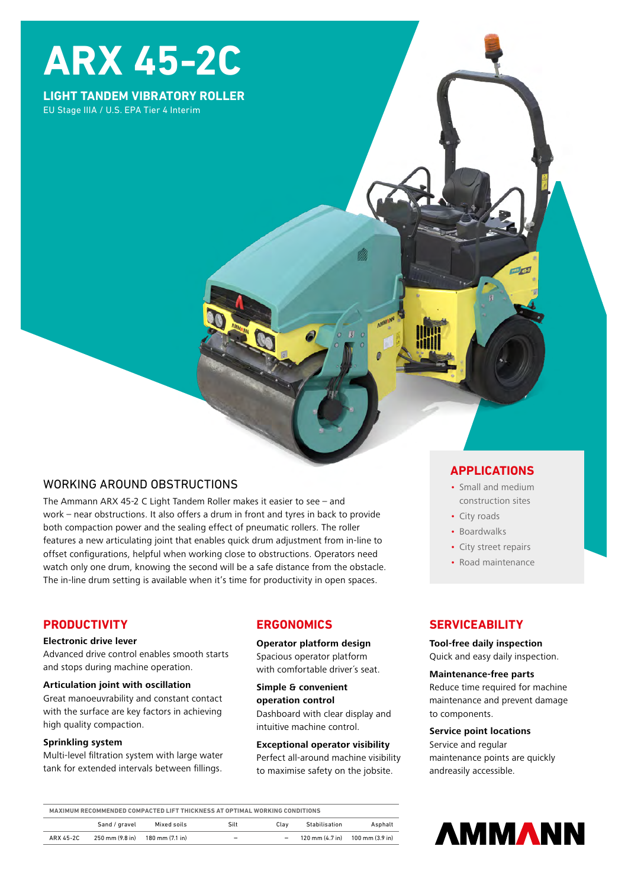# **ARX 45-2C**

## **LIGHT TANDEM VIBRATORY ROLLER** EU Stage IIIA / U.S. EPA Tier 4 Interim

# WORKING AROUND OBSTRUCTIONS

The Ammann ARX 45-2 C Light Tandem Roller makes it easier to see – and work – near obstructions. It also offers a drum in front and tyres in back to provide both compaction power and the sealing effect of pneumatic rollers. The roller features a new articulating joint that enables quick drum adjustment from in-line to offset configurations, helpful when working close to obstructions. Operators need watch only one drum, knowing the second will be a safe distance from the obstacle. The in-line drum setting is available when it's time for productivity in open spaces.

# **PRODUCTIVITY**

#### **Electronic drive lever**

Advanced drive control enables smooth starts and stops during machine operation.

#### **Articulation joint with oscillation**

Great manoeuvrability and constant contact with the surface are key factors in achieving high quality compaction.

#### **Sprinkling system**

Multi-level filtration system with large water tank for extended intervals between fillings.

# **ERGONOMICS**

**Operator platform design** Spacious operator platform with comfortable driver´s seat.

**Simple & convenient operation control**  Dashboard with clear display and intuitive machine control.

#### **Exceptional operator visibility**

Perfect all-around machine visibility to maximise safety on the jobsite.

## **APPLICATIONS**

mal<sub>23</sub>

- Small and medium construction sites
- City roads
- Boardwalks
- City street repairs
- Road maintenance

# **SERVICEABILITY**

## **Tool-free daily inspection**

Quick and easy daily inspection.

#### **Maintenance-free parts**

Reduce time required for machine maintenance and prevent damage to components.

#### **Service point locations**

Service and regular maintenance points are quickly andreasily accessible.

| MAXIMUM RECOMMENDED COMPACTED LIFT THICKNESS AT OPTIMAL WORKING CONDITIONS |                 |                 |                          |      |               |                                                                     |
|----------------------------------------------------------------------------|-----------------|-----------------|--------------------------|------|---------------|---------------------------------------------------------------------|
|                                                                            | Sand / gravel   | Mixed soils     | Silt                     | Clav | Stabilisation | Asphalt                                                             |
| ARX 45-2C                                                                  | 250 mm (9.8 in) | 180 mm (7.1 in) | $\overline{\phantom{a}}$ | -    |               | $120 \text{ mm} (4.7 \text{ in})$ $100 \text{ mm} (3.9 \text{ in})$ |